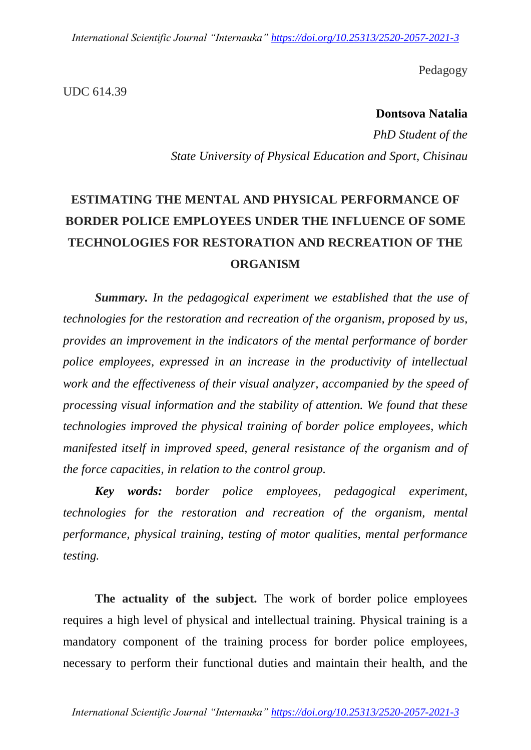*International Scientific Journal "Internauka" https://doi.org/10.25313/2520-2057-2021-3*

Pedagogy

UDC 614.39

**Dontsova Natalia**

*PhD Student of the State University of Physical Education and Sport, Chisinau*

# **ESTIMATING THE MENTAL AND PHYSICAL PERFORMANCE OF BORDER POLICE EMPLOYEES UNDER THE INFLUENCE OF SOME TECHNOLOGIES FOR RESTORATION AND RECREATION OF THE ORGANISM**

*Summary. In the pedagogical experiment we established that the use of technologies for the restoration and recreation of the organism, proposed by us, provides an improvement in the indicators of the mental performance of border police employees, expressed in an increase in the productivity of intellectual work and the effectiveness of their visual analyzer, accompanied by the speed of processing visual information and the stability of attention. We found that these technologies improved the physical training of border police employees, which manifested itself in improved speed, general resistance of the organism and of the force capacities, in relation to the control group.*

*Key words: border police employees, pedagogical experiment, technologies for the restoration and recreation of the organism, mental performance, physical training, testing of motor qualities, mental performance testing.*

**The actuality of the subject.** The work of border police employees requires a high level of physical and intellectual training. Physical training is a mandatory component of the training process for border police employees, necessary to perform their functional duties and maintain their health, and the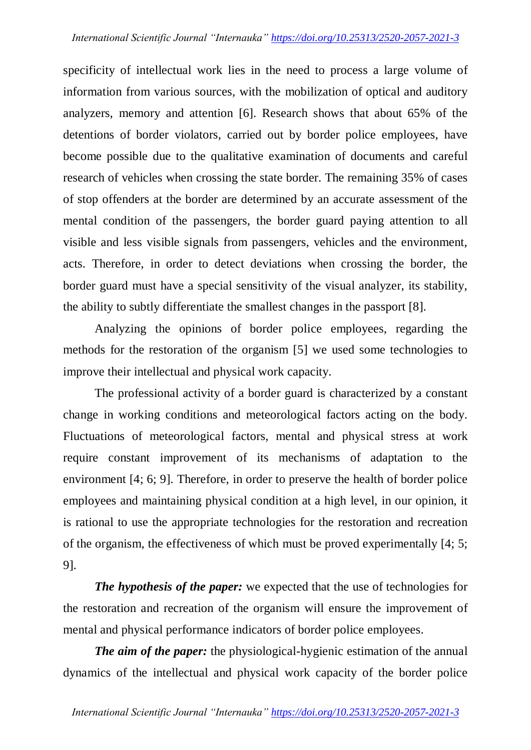specificity of intellectual work lies in the need to process a large volume of information from various sources, with the mobilization of optical and auditory analyzers, memory and attention [6]. Research shows that about 65% of the detentions of border violators, carried out by border police employees, have become possible due to the qualitative examination of documents and careful research of vehicles when crossing the state border. The remaining 35% of cases of stop offenders at the border are determined by an accurate assessment of the mental condition of the passengers, the border guard paying attention to all visible and less visible signals from passengers, vehicles and the environment, acts. Therefore, in order to detect deviations when crossing the border, the border guard must have a special sensitivity of the visual analyzer, its stability, the ability to subtly differentiate the smallest changes in the passport [8].

Analyzing the opinions of border police employees, regarding the methods for the restoration of the organism [5] we used some technologies to improve their intellectual and physical work capacity.

The professional activity of a border guard is characterized by a constant change in working conditions and meteorological factors acting on the body. Fluctuations of meteorological factors, mental and physical stress at work require constant improvement of its mechanisms of adaptation to the environment [4; 6; 9]. Therefore, in order to preserve the health of border police employees and maintaining physical condition at a high level, in our opinion, it is rational to use the appropriate technologies for the restoration and recreation of the organism, the effectiveness of which must be proved experimentally [4; 5; 9].

*The hypothesis of the paper:* we expected that the use of technologies for the restoration and recreation of the organism will ensure the improvement of mental and physical performance indicators of border police employees.

*The aim of the paper:* the physiological-hygienic estimation of the annual dynamics of the intellectual and physical work capacity of the border police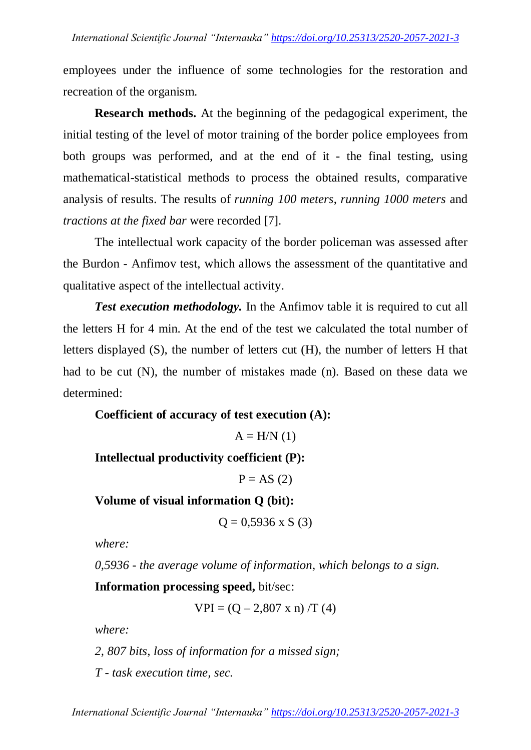employees under the influence of some technologies for the restoration and recreation of the organism.

**Research methods.** At the beginning of the pedagogical experiment, the initial testing of the level of motor training of the border police employees from both groups was performed, and at the end of it - the final testing, using mathematical-statistical methods to process the obtained results, comparative analysis of results. The results of *running 100 meters*, *running 1000 meters* and *tractions at the fixed bar* were recorded [7].

The intellectual work capacity of the border policeman was assessed after the Burdon - Anfimov test, which allows the assessment of the quantitative and qualitative aspect of the intellectual activity.

*Test execution methodology.* In the Anfimov table it is required to cut all the letters H for 4 min. At the end of the test we calculated the total number of letters displayed (S), the number of letters cut (H), the number of letters H that had to be cut (N), the number of mistakes made (n). Based on these data we determined:

**Coefficient of accuracy of test execution (A):**

 $A = H/N$  (1)

**Intellectual productivity coefficient (P):**

 $P = AS(2)$ 

**Volume of visual information Q (bit):**

 $Q = 0.5936$  x S (3)

*where:*

*0,5936 - the average volume of information, which belongs to a sign.*

**Information processing speed,** bit/sec:

 $VPI = (Q - 2,807 \times n) / T (4)$ 

*where:*

*2, 807 bits, loss of information for a missed sign;*

*T - task execution time, sec.*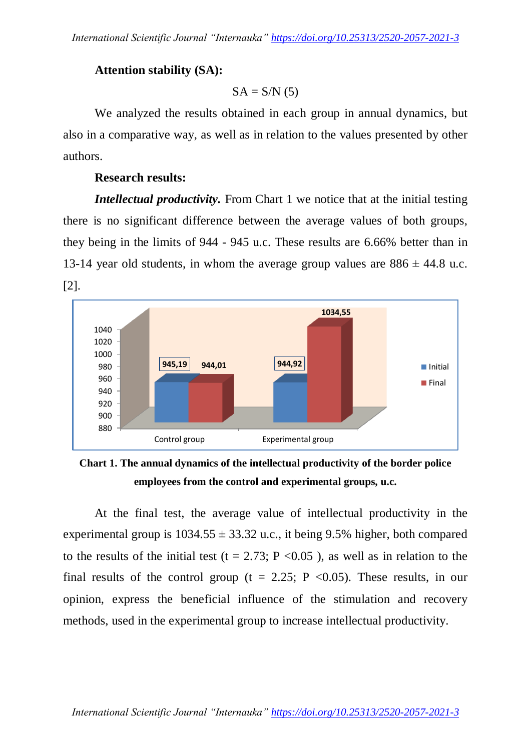## **Attention stability (SA):**

 $SA = S/N(5)$ 

We analyzed the results obtained in each group in annual dynamics, but also in a comparative way, as well as in relation to the values presented by other authors.

### **Research results:**

*Intellectual productivity.* From Chart 1 we notice that at the initial testing there is no significant difference between the average values of both groups, they being in the limits of 944 - 945 u.c. These results are 6.66% better than in 13-14 year old students, in whom the average group values are  $886 \pm 44.8$  u.c. [2].



**Chart 1. The annual dynamics of the intellectual productivity of the border police employees from the control and experimental groups, u.c.**

At the final test, the average value of intellectual productivity in the experimental group is  $1034.55 \pm 33.32$  u.c., it being 9.5% higher, both compared to the results of the initial test (t = 2.73; P < 0.05), as well as in relation to the final results of the control group ( $t = 2.25$ ; P <0.05). These results, in our opinion, express the beneficial influence of the stimulation and recovery methods, used in the experimental group to increase intellectual productivity.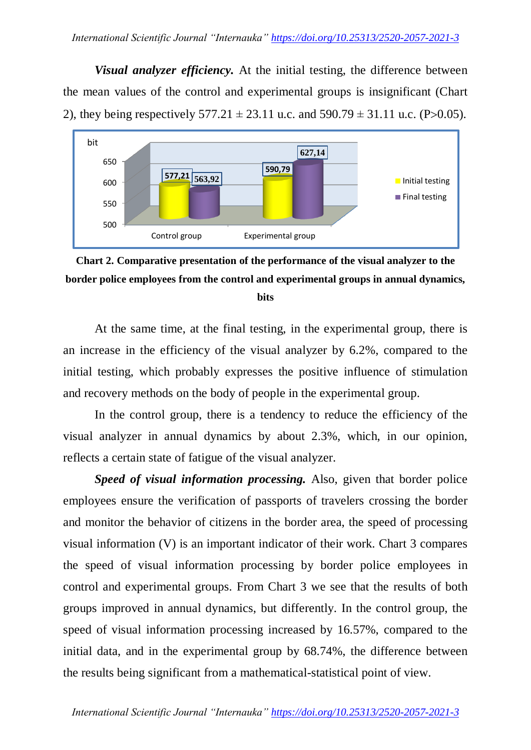*Visual analyzer efficiency.* At the initial testing, the difference between the mean values of the control and experimental groups is insignificant (Chart 2), they being respectively  $577.21 \pm 23.11$  u.c. and  $590.79 \pm 31.11$  u.c. (P $>0.05$ ).



**Chart 2. Comparative presentation of the performance of the visual analyzer to the border police employees from the control and experimental groups in annual dynamics, bits**

At the same time, at the final testing, in the experimental group, there is an increase in the efficiency of the visual analyzer by 6.2%, compared to the initial testing, which probably expresses the positive influence of stimulation and recovery methods on the body of people in the experimental group.

In the control group, there is a tendency to reduce the efficiency of the visual analyzer in annual dynamics by about 2.3%, which, in our opinion, reflects a certain state of fatigue of the visual analyzer.

*Speed of visual information processing.* Also, given that border police employees ensure the verification of passports of travelers crossing the border and monitor the behavior of citizens in the border area, the speed of processing visual information (V) is an important indicator of their work. Chart 3 compares the speed of visual information processing by border police employees in control and experimental groups. From Chart 3 we see that the results of both groups improved in annual dynamics, but differently. In the control group, the speed of visual information processing increased by 16.57%, compared to the initial data, and in the experimental group by 68.74%, the difference between the results being significant from a mathematical-statistical point of view.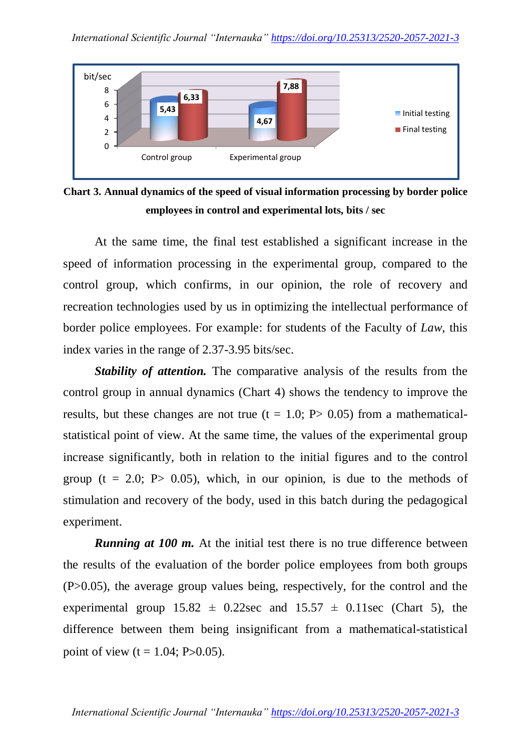

**Chart 3. Annual dynamics of the speed of visual information processing by border police employees in control and experimental lots, bits / sec**

At the same time, the final test established a significant increase in the speed of information processing in the experimental group, compared to the control group, which confirms, in our opinion, the role of recovery and recreation technologies used by us in optimizing the intellectual performance of border police employees. For example: for students of the Faculty of *Law*, this index varies in the range of 2.37-3.95 bits/sec.

*Stability of attention.* The comparative analysis of the results from the control group in annual dynamics (Chart 4) shows the tendency to improve the results, but these changes are not true  $(t = 1.0; P > 0.05)$  from a mathematicalstatistical point of view. At the same time, the values of the experimental group increase significantly, both in relation to the initial figures and to the control group ( $t = 2.0$ ; P $> 0.05$ ), which, in our opinion, is due to the methods of stimulation and recovery of the body, used in this batch during the pedagogical experiment.

*Running at 100 m.* At the initial test there is no true difference between the results of the evaluation of the border police employees from both groups (P>0.05), the average group values being, respectively, for the control and the experimental group  $15.82 \pm 0.22$  sec and  $15.57 \pm 0.11$  sec (Chart 5), the difference between them being insignificant from a mathematical-statistical point of view  $(t = 1.04; P > 0.05)$ .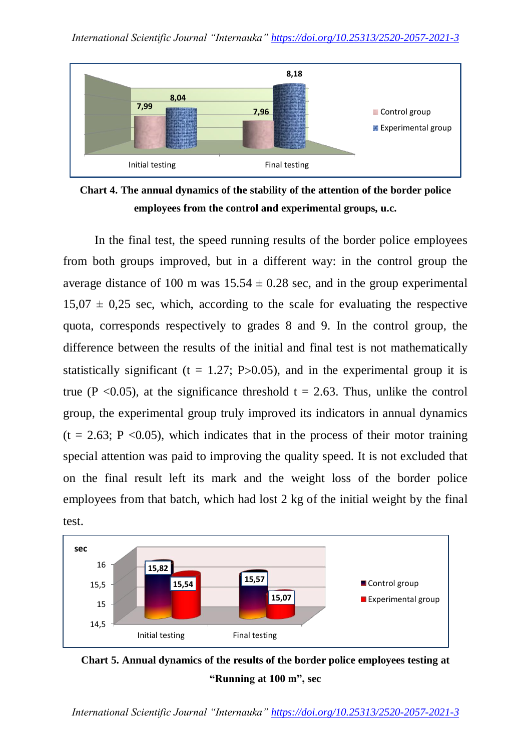

**Chart 4. The annual dynamics of the stability of the attention of the border police employees from the control and experimental groups, u.c.**

In the final test, the speed running results of the border police employees from both groups improved, but in a different way: in the control group the average distance of 100 m was  $15.54 \pm 0.28$  sec, and in the group experimental  $15,07 \pm 0,25$  sec, which, according to the scale for evaluating the respective quota, corresponds respectively to grades 8 and 9. In the control group, the difference between the results of the initial and final test is not mathematically statistically significant (t = 1.27; P $> 0.05$ ), and in the experimental group it is true (P < 0.05), at the significance threshold t = 2.63. Thus, unlike the control group, the experimental group truly improved its indicators in annual dynamics  $(t = 2.63; P < 0.05)$ , which indicates that in the process of their motor training special attention was paid to improving the quality speed. It is not excluded that on the final result left its mark and the weight loss of the border police employees from that batch, which had lost 2 kg of the initial weight by the final test.





*International Scientific Journal "Internauka" https://doi.org/10.25313/2520-2057-2021-3*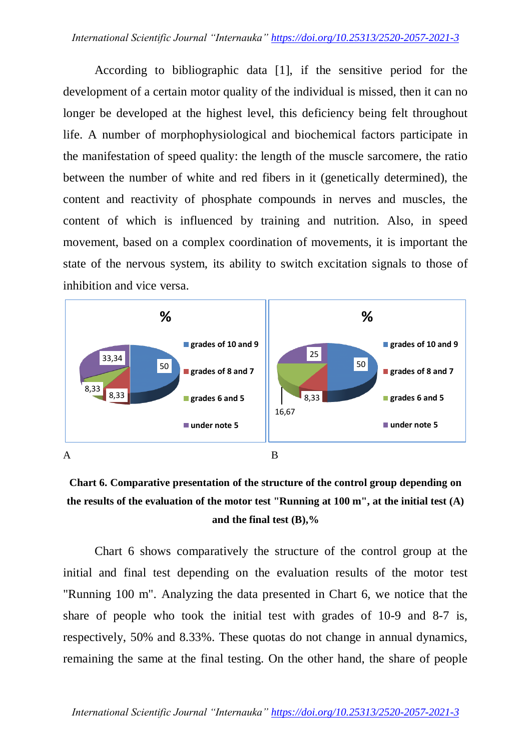According to bibliographic data [1], if the sensitive period for the development of a certain motor quality of the individual is missed, then it can no longer be developed at the highest level, this deficiency being felt throughout life. A number of morphophysiological and biochemical factors participate in the manifestation of speed quality: the length of the muscle sarcomere, the ratio between the number of white and red fibers in it (genetically determined), the content and reactivity of phosphate compounds in nerves and muscles, the content of which is influenced by training and nutrition. Also, in speed movement, based on a complex coordination of movements, it is important the state of the nervous system, its ability to switch excitation signals to those of inhibition and vice versa.



**Chart 6. Comparative presentation of the structure of the control group depending on the results of the evaluation of the motor test "Running at 100 m", at the initial test (A) and the final test (B),%**

Chart 6 shows comparatively the structure of the control group at the initial and final test depending on the evaluation results of the motor test "Running 100 m". Analyzing the data presented in Chart 6, we notice that the share of people who took the initial test with grades of 10-9 and 8-7 is, respectively, 50% and 8.33%. These quotas do not change in annual dynamics, remaining the same at the final testing. On the other hand, the share of people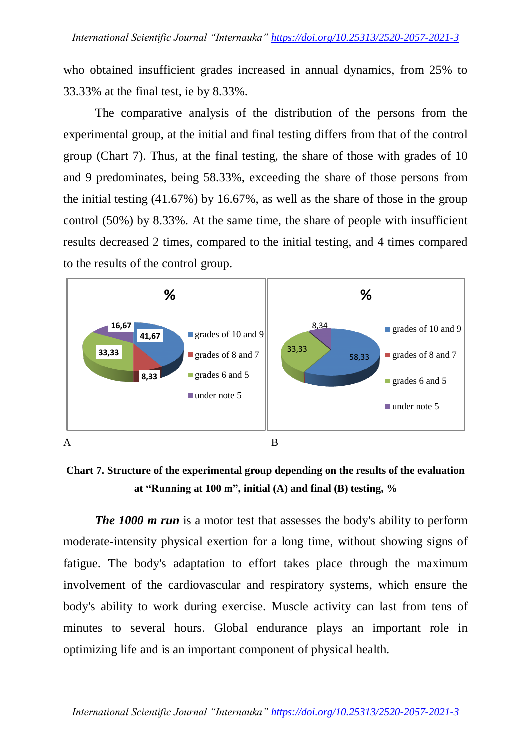who obtained insufficient grades increased in annual dynamics, from 25% to 33.33% at the final test, ie by 8.33%.

The comparative analysis of the distribution of the persons from the experimental group, at the initial and final testing differs from that of the control group (Chart 7). Thus, at the final testing, the share of those with grades of 10 and 9 predominates, being 58.33%, exceeding the share of those persons from the initial testing (41.67%) by 16.67%, as well as the share of those in the group control (50%) by 8.33%. At the same time, the share of people with insufficient results decreased 2 times, compared to the initial testing, and 4 times compared to the results of the control group.



**Chart 7. Structure of the experimental group depending on the results of the evaluation at "Running at 100 m", initial (A) and final (B) testing, %**

*The 1000 m run* is a motor test that assesses the body's ability to perform moderate-intensity physical exertion for a long time, without showing signs of fatigue. The body's adaptation to effort takes place through the maximum involvement of the cardiovascular and respiratory systems, which ensure the body's ability to work during exercise. Muscle activity can last from tens of minutes to several hours. Global endurance plays an important role in optimizing life and is an important component of physical health.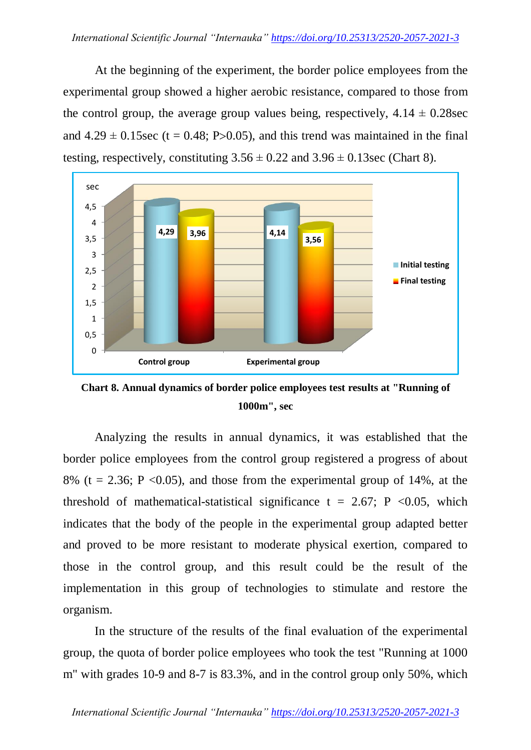At the beginning of the experiment, the border police employees from the experimental group showed a higher aerobic resistance, compared to those from the control group, the average group values being, respectively,  $4.14 \pm 0.28$  sec and  $4.29 \pm 0.15$  sec (t = 0.48; P>0.05), and this trend was maintained in the final testing, respectively, constituting  $3.56 \pm 0.22$  and  $3.96 \pm 0.13$  sec (Chart 8).



**Chart 8. Annual dynamics of border police employees test results at "Running of 1000m", sec**

Analyzing the results in annual dynamics, it was established that the border police employees from the control group registered a progress of about 8% (t = 2.36; P < 0.05), and those from the experimental group of 14%, at the threshold of mathematical-statistical significance t = 2.67; P < 0.05, which indicates that the body of the people in the experimental group adapted better and proved to be more resistant to moderate physical exertion, compared to those in the control group, and this result could be the result of the implementation in this group of technologies to stimulate and restore the organism.

In the structure of the results of the final evaluation of the experimental group, the quota of border police employees who took the test "Running at 1000 m" with grades 10-9 and 8-7 is 83.3%, and in the control group only 50%, which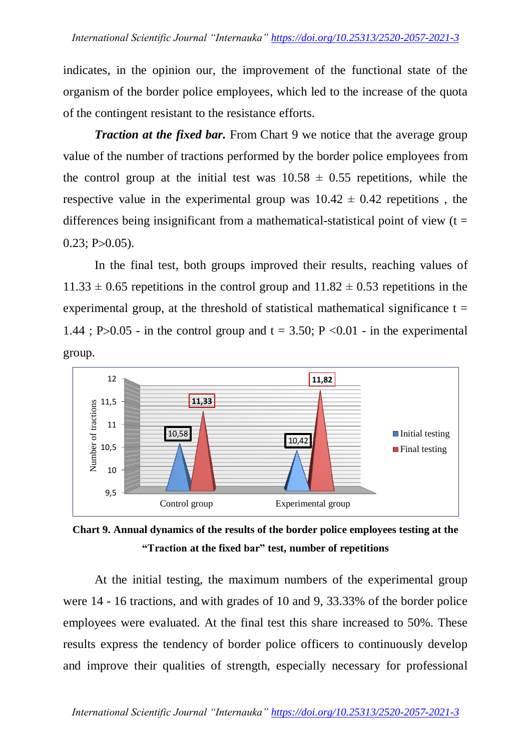indicates, in the opinion our, the improvement of the functional state of the organism of the border police employees, which led to the increase of the quota of the contingent resistant to the resistance efforts.

*Traction at the fixed bar.* From Chart 9 we notice that the average group value of the number of tractions performed by the border police employees from the control group at the initial test was  $10.58 \pm 0.55$  repetitions, while the respective value in the experimental group was  $10.42 \pm 0.42$  repetitions, the differences being insignificant from a mathematical-statistical point of view  $(t =$  $0.23$ ; P $>0.05$ ).

In the final test, both groups improved their results, reaching values of  $11.33 \pm 0.65$  repetitions in the control group and  $11.82 \pm 0.53$  repetitions in the experimental group, at the threshold of statistical mathematical significance  $t =$ 1.44; P>0.05 - in the control group and  $t = 3.50$ ; P <0.01 - in the experimental group.



**Chart 9. Annual dynamics of the results of the border police employees testing at the "Traction at the fixed bar" test, number of repetitions**

At the initial testing, the maximum numbers of the experimental group were 14 - 16 tractions, and with grades of 10 and 9, 33.33% of the border police employees were evaluated. At the final test this share increased to 50%. These results express the tendency of border police officers to continuously develop and improve their qualities of strength, especially necessary for professional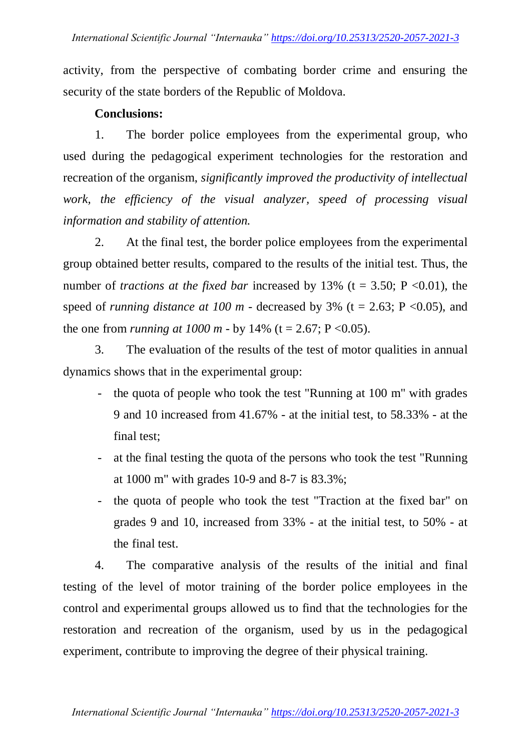activity, from the perspective of combating border crime and ensuring the security of the state borders of the Republic of Moldova.

### **Conclusions:**

1. The border police employees from the experimental group, who used during the pedagogical experiment technologies for the restoration and recreation of the organism, *significantly improved the productivity of intellectual work, the efficiency of the visual analyzer, speed of processing visual information and stability of attention.*

2. At the final test, the border police employees from the experimental group obtained better results, compared to the results of the initial test. Thus, the number of *tractions* at the fixed bar increased by 13% ( $t = 3.50$ ;  $P < 0.01$ ), the speed of *running distance* at 100  $m$  - decreased by 3% (t = 2.63; P < 0.05), and the one from *running at*  $1000 \text{ m}$  - by  $14\%$  (t = 2.67; P < 0.05).

3. The evaluation of the results of the test of motor qualities in annual dynamics shows that in the experimental group:

- the quota of people who took the test "Running at 100 m" with grades 9 and 10 increased from 41.67% - at the initial test, to 58.33% - at the final test;
- at the final testing the quota of the persons who took the test "Running" at 1000 m" with grades 10-9 and 8-7 is 83.3%;
- the quota of people who took the test "Traction at the fixed bar" on grades 9 and 10, increased from 33% - at the initial test, to 50% - at the final test.

4. The comparative analysis of the results of the initial and final testing of the level of motor training of the border police employees in the control and experimental groups allowed us to find that the technologies for the restoration and recreation of the organism, used by us in the pedagogical experiment, contribute to improving the degree of their physical training.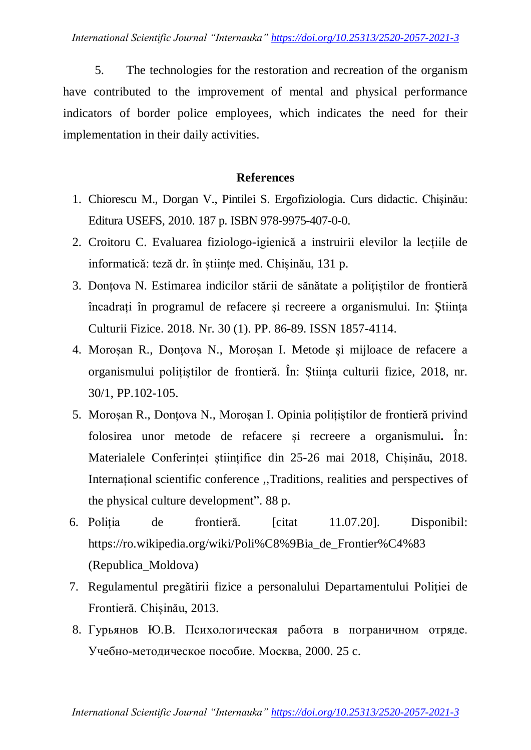5. The technologies for the restoration and recreation of the organism have contributed to the improvement of mental and physical performance indicators of border police employees, which indicates the need for their implementation in their daily activities.

### **References**

- 1. Chiorescu M., Dorgan V., Pintilei S. Ergofiziologia. Curs didactic. Chişinău: Editura USEFS, 2010. 187 p. ISBN 978-9975-407-0-0.
- 2. Croitoru C. Evaluarea fiziologo-igienică a instruirii elevilor la lecțiile de informatică: teză dr. în științe med. Chișinău, 131 p.
- 3. Donțova N. Estimarea indicilor stării de sănătate a polițiștilor de frontieră încadrați în programul de refacere și recreere a organismului. In: Ştiinţa Culturii Fizice. 2018. Nr. 30 (1). PP. 86-89. ISSN 1857-4114.
- 4. Moroșan R., Donțova N., Moroșan I. Metode și mijloace de refacere a organismului polițiștilor de frontieră. În: Știința culturii fizice, 2018, nr. 30/1, PP.102-105.
- 5. Moroșan R., Donțova N., Moroșan I. Opinia polițiștilor de frontieră privind folosirea unor metode de refacere și recreere a organismului**.** În: Materialele Conferinței științifice din 25-26 mai 2018, Chișinău, 2018. Internațional scientific conference ,,Traditions, realities and perspectives of the physical culture development". 88 p.
- 6. Poliția de frontieră. [citat 11.07.20]. Disponibil: https://ro.wikipedia.org/wiki/Poli%C8%9Bia\_de\_Frontier%C4%83 (Republica\_Moldova)
- 7. Regulamentul pregătirii fizice a personalului Departamentului Poliţiei de Frontieră. Chișinău, 2013.
- 8. Гурьянов Ю.В. Психологическая работа в пограничном отряде. Учебно-методическое пособие. Москва, 2000. 25 c.